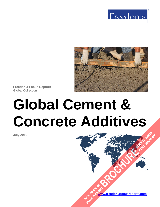



**Freedonia Focus Reports** Global Collection

# **Global Cement & Concrete Additives**

**July 2019**

**[www.freedoniafocusreports.com](https://www.freedoniafocusreports.com/redirect.asp?progid=89534&url=/)** CLICK TO ORDER **FULL REPORT** 

**[BROCHURE](https://www.freedoniafocusreports.com/Global-Cement-Concrete-Additives-FW60050/?progid=89541) CLICK TO ORDER** 

**FULL REPORT**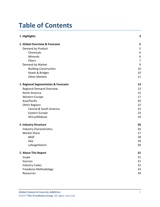# **Table of Contents**

| 1. Highlights                        | 3                |
|--------------------------------------|------------------|
| 2. Global Overview & Forecasts       | 5                |
| Demand by Product                    | 5                |
| Chemicals                            | 6                |
| <b>Minerals</b>                      | $\boldsymbol{6}$ |
| Fibers                               | $\overline{7}$   |
| Demand by Market                     | 9                |
| <b>Building Construction</b>         | 10               |
| Roads & Bridges                      | 10               |
| <b>Other Markets</b>                 | 11               |
| 3. Regional Segmentation & Forecasts | 13               |
| <b>Regional Demand Overview</b>      | 13               |
| North America                        | 15               |
| Western Europe                       | 17               |
| Asia/Pacific                         | 20               |
| <b>Other Regions</b>                 | 22               |
| <b>Central &amp; South America</b>   | 23               |
| Eastern Europe                       | 23               |
| Africa/Mideast                       | 24               |
| 4. Industry Structure                | 26               |
| <b>Industry Characteristics</b>      | 26               |
| Market Share                         | 27               |
| <b>BASF</b>                          | 28               |
| Sika                                 | 29               |
| LafargeHolcim                        | 30               |
| 5. About This Report                 | 31               |
| Scope                                | 31               |
| Sources                              | 31               |
| <b>Industry Codes</b>                | 32               |
| Freedonia Methodology                | 33               |
| Resources                            | 34               |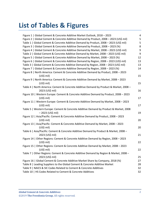# **List of Tables & Figures**

| Figure 1   Global Cement & Concrete Additive Market Outlook, 2018 - 2023                                   | 4  |
|------------------------------------------------------------------------------------------------------------|----|
| Figure 2   Global Cement & Concrete Additive Demand by Product, 2008 - 2023 (US\$ mil)                     | 5  |
| Table 1   Global Cement & Concrete Additive Demand by Product, 2008 - 2023 (US\$ mil)                      | 5  |
| Figure 3   Global Cement & Concrete Additive Demand by Product, 2008 - 2023 (%)                            | 8  |
| Figure 4   Global Cement & Concrete Additive Demand by Market, 2008 - 2023 (US\$ mil)                      | 9  |
| Table 2   Global Cement & Concrete Additive Demand by Market, 2008 - 2023 (US\$ mil)                       | 9  |
| Figure 5   Global Cement & Concrete Additive Demand by Market, 2008 - 2023 (%)                             | 12 |
| Figure 6   Global Cement & Concrete Additive Demand by Region, 2008 - 2023 (US\$ mil)                      | 13 |
| Table 3   Global Cement & Concrete Additive Demand by Region, 2008 - 2023 (US\$ mil)                       | 13 |
| Figure 7   Global Cement & Concrete Additive Demand by Region, 2008 - 2023 (%)                             | 14 |
| Figure 8   North America: Cement & Concrete Additive Demand by Product, 2008 - 2023<br>$(US$)$ mil)        | 15 |
| Figure 9   North America: Cement & Concrete Additive Demand by Market, 2008 - 2023                         |    |
| $(US$)$ mil)                                                                                               | 15 |
| Table 4   North America: Cement & Concrete Additive Demand by Product & Market, 2008 -                     |    |
| 2023 (US\$ mil)                                                                                            | 16 |
| Figure 10   Western Europe: Cement & Concrete Additive Demand by Product, 2008 - 2023                      |    |
| $(US$)$ mil)                                                                                               | 17 |
| Figure 11   Western Europe: Cement & Concrete Additive Demand by Market, 2008 - 2023<br>(US\$ mil)         | 17 |
| Table 5   Western Europe: Cement & Concrete Additive Demand by Product & Market, 2008<br>- 2023 (US\$ mil) | 19 |
| Figure 12   Asia/Pacific: Cement & Concrete Additive Demand by Product, 2008 - 2023<br>$(US$)$ mil)        | 20 |
| Figure 13   Asia/Pacific: Cement & Concrete Additive Demand by Market, 2008 - 2023<br>(US\$ mil)           | 20 |
| Table 6   Asia/Pacific: Cement & Concrete Additive Demand by Product & Market, 2008 -<br>2023 (US\$ mil)   | 21 |
| Figure 14   Other Regions: Cement & Concrete Additive Demand by Region, 2008 - 2023<br>$(US$)$ mil)        | 22 |
| Figure 15   Other Regions: Cement & Concrete Additive Demand by Market, 2008 - 2023<br>(US\$ mil)          | 22 |
| Table 7   Other Regions: Cement & Concrete Additive Demand by Region & Market, 2008 -                      |    |
| 2023 (US\$ mil)                                                                                            | 25 |
| Figure 16   Global Cement & Concrete Additive Market Share by Company, 2018 (%)                            | 27 |
| Table 8   Leading Suppliers to the Global Cement & Concrete Additive Market                                | 28 |
| Table 9   NAICS & SIC Codes Related to Cement & Concrete Additives                                         | 32 |
| Table 10   HS Codes Related to Cement & Concrete Additives                                                 | 32 |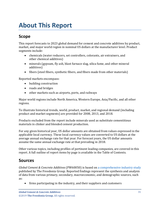# <span id="page-3-0"></span>**About This Report**

# <span id="page-3-1"></span>**Scope**

This report forecasts to 2023 global demand for cement and concrete additives by product, market, and major world region in nominal US dollars at the manufacturer level. Product segments include:

- chemicals (water reducers, set controllers, colorants, air entrainers, and other chemical additives)
- minerals (gypsum, fly ash, blast furnace slag, silica fume, and other mineral additives)
- fibers (steel fibers, synthetic fibers, and fibers made from other materials)

Reported markets encompass:

- building construction
- roads and bridges
- other markets such as airports, ports, and railways

Major world regions include North America, Western Europe, Asia/Pacific, and all other regions.

To illustrate historical trends, world, product, market, and regional demand (including product and market segments) are provided for 2008, 2013, and 2018.

Products excluded from the report include minerals used as substitute cementitious materials in clinker and blended cement production.

For any given historical year, US dollar amounts are obtained from values expressed in the applicable local currency. These local currency values are converted to US dollars at the average annual exchange rate for that year. For forecast years, the US dollar amounts assume the same annual exchange rate at that prevailing in 2018.

Other various topics, including profiles of pertinent leading companies, are covered in this report. A full outline of report items by page is available in the Table of Contents.

## <span id="page-3-2"></span>**Sources**

*Global Cement & Concrete Additives* (FW60050) is based on [a comprehensive industry study](http://www.freedoniagroup.com/DocumentDetails.aspx?ReferrerId=FL-FOCUS&studyid=3748) published by The Freedonia Group. Reported findings represent the synthesis and analysis of data from various primary, secondary, macroeconomic, and demographic sources, such as:

• firms participating in the industry, and their suppliers and customers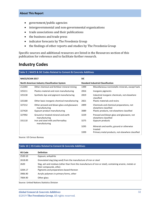#### **About This Report**

- government/public agencies
- intergovernmental and non-governmental organizations
- trade associations and their publications
- the business and trade press
- indicator forecasts by The Freedonia Group
- the findings of other reports and studies by The Freedonia Group

Specific sources and additional resources are listed in the Resources section of this publication for reference and to facilitate further research.

## <span id="page-4-0"></span>**Industry Codes**

#### <span id="page-4-1"></span>**Table 9 | NAICS & SIC Codes Related to Cement & Concrete Additives**

| <b>NAICS/SCIAN 2017</b> |                                                                                                   | <b>SIC</b> |                                                                    |
|-------------------------|---------------------------------------------------------------------------------------------------|------------|--------------------------------------------------------------------|
|                         | <b>Standard Industrial Classification</b><br><b>North American Industry Classification System</b> |            |                                                                    |
| 212393                  | Other chemical and fertilizer mineral mining                                                      | 1499       | Miscellaneous nonmetallic minerals, except fuels                   |
| 325211                  | Plastics material and resin manufacturing                                                         | 2816       | Inorganic pigments                                                 |
| 325130                  | Synthetic dye and pigment manufacturing                                                           | 2819       | Industrial inorganic chemicals, not elsewhere<br>classified        |
| 325180                  | Other basic inorganic chemical manufacturing                                                      | 2821       | Plastic materials and resins                                       |
| 327212                  | Other pressed and blown glass and glassware<br>manufacturing                                      | 2899       | Chemicals and chemical preparations, not<br>elsewhere classified   |
| 327420                  | Gypsum product manufacturing                                                                      | 3089       | Plastic products, not elsewhere classified                         |
| 327992                  | Ground or treated mineral and earth<br>manufacturing                                              | 3229       | Pressed and blown glass and glassware, not<br>elsewhere classified |
| 331110                  | Iron and steel mills and ferroalloy<br>manufacturing                                              | 3275       | Gypsum products                                                    |
|                         |                                                                                                   | 3295       | Minerals and earths, ground or otherwise<br>treated                |
|                         |                                                                                                   | 3399       | Primary metal products, not elsewhere classified                   |

Source: US Census Bureau

#### <span id="page-4-2"></span>**Table 10 | HS Codes Related to Cement & Concrete Additives**

| <b>HS Code</b> | <b>Definition</b>                                                                                                                   |
|----------------|-------------------------------------------------------------------------------------------------------------------------------------|
| 2520.10        | Gypsum; anhydrite                                                                                                                   |
| 2618.00        | Granulated slag (slag sand) from the manufacture of iron or steel                                                                   |
| 2620           | Slag, ash and residues (other than from the manufacture of iron or steel), containing arsenic, metals or<br>their compounds, other. |
| 3204.17        | Pigments and preparations based thereon                                                                                             |
| 3906.90        | Acrylic polymers in primary forms, other                                                                                            |
| 7004.90        | Other glass                                                                                                                         |

Source: United Nations Statistics Division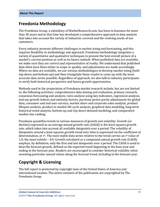### <span id="page-5-0"></span>**Freedonia Methodology**

The Freedonia Group, a subsidiary of MarketResearch.com, has been in business for more than 30 years and in that time has developed a comprehensive approach to data analysis that takes into account the variety of industries covered and the evolving needs of our customers.

Every industry presents different challenges in market sizing and forecasting, and this requires flexibility in methodology and approach. Freedonia methodology integrates a variety of quantitative and qualitative techniques to present the best overall picture of a market's current position as well as its future outlook: When published data are available, we make sure they are correct and representative of reality. We understand that published data often have flaws either in scope or quality, and adjustments are made accordingly. Where no data are available, we use various methodologies to develop market sizing (both top-down and bottom-up) and then triangulate those results to come up with the most accurate data series possible. Regardless of approach, we also talk to industry participants to verify both historical perspective and future growth opportunities.

Methods used in the preparation of Freedonia market research include, but are not limited to, the following activities: comprehensive data mining and evaluation, primary research, consensus forecasting and analysis, ratio analysis using key indicators, regression analysis, end use growth indices and intensity factors, purchase power parity adjustments for global data, consumer and end user surveys, market share and corporate sales analysis, product lifespan analysis, product or market life cycle analysis, graphical data modeling, long-term historical trend analysis, bottom-up and top-down demand modeling, and comparative market size ranking.

Freedonia quantifies trends in various measures of growth and volatility. Growth (or decline) expressed as an average annual growth rate (AAGR) is the least squares growth rate, which takes into account all available datapoints over a period. The volatility of datapoints around a least squares growth trend over time is expressed via the coefficient of determination, or  $r^2$ . The most stable data series relative to the trend carries an  $r^2$  value of 1.0; the most volatile – 0.0. Growth calculated as a compound annual growth rate (CAGR) employs, by definition, only the first and last datapoints over a period. The CAGR is used to describe forecast growth, defined as the expected trend beginning in the base year and ending in the forecast year. Readers are encouraged to consider historical volatility when assessing particular annual values along the forecast trend, including in the forecast year.

## **Copyright & Licensing**

The full report is protected by copyright laws of the United States of America and international treaties. The entire contents of the publication are copyrighted by The Freedonia Group.